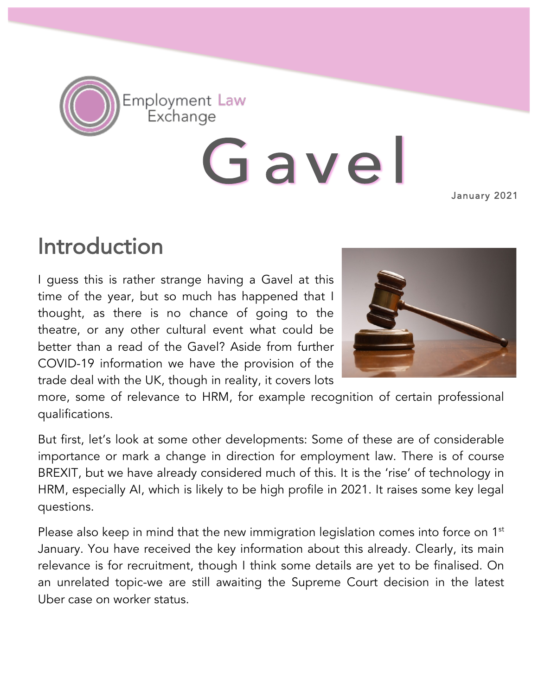

Gavel

January 2021

## Introduction

I guess this is rather strange having a Gavel at this time of the year, but so much has happened that I thought, as there is no chance of going to the theatre, or any other cultural event what could be better than a read of the Gavel? Aside from further COVID-19 information we have the provision of the trade deal with the UK, though in reality, it covers lots



more, some of relevance to HRM, for example recognition of certain professional qualifications.

But first, let's look at some other developments: Some of these are of considerable importance or mark a change in direction for employment law. There is of course BREXIT, but we have already considered much of this. It is the 'rise' of technology in HRM, especially AI, which is likely to be high profile in 2021. It raises some key legal questions.

Please also keep in mind that the new immigration legislation comes into force on 1<sup>st</sup> January. You have received the key information about this already. Clearly, its main relevance is for recruitment, though I think some details are yet to be finalised. On an unrelated topic-we are still awaiting the Supreme Court decision in the latest Uber case on worker status.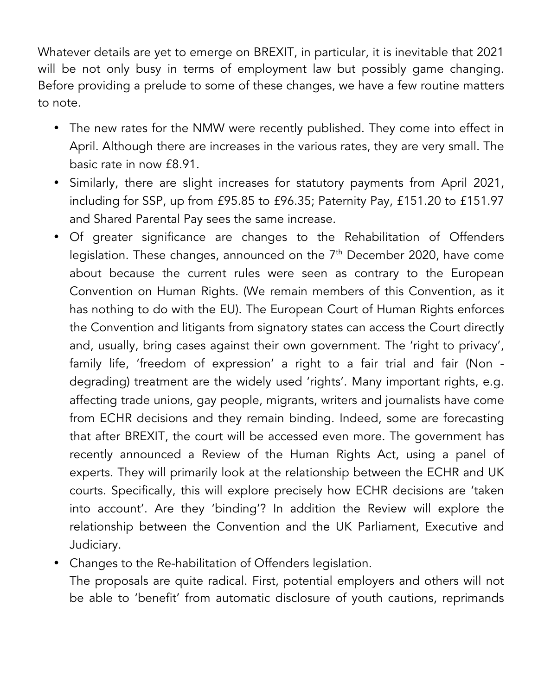Whatever details are yet to emerge on BREXIT, in particular, it is inevitable that 2021 will be not only busy in terms of employment law but possibly game changing. Before providing a prelude to some of these changes, we have a few routine matters to note.

- The new rates for the NMW were recently published. They come into effect in April. Although there are increases in the various rates, they are very small. The basic rate in now £8.91.
- Similarly, there are slight increases for statutory payments from April 2021, including for SSP, up from £95.85 to £96.35; Paternity Pay, £151.20 to £151.97 and Shared Parental Pay sees the same increase.
- Of greater significance are changes to the Rehabilitation of Offenders legislation. These changes, announced on the  $7<sup>th</sup>$  December 2020, have come about because the current rules were seen as contrary to the European Convention on Human Rights. (We remain members of this Convention, as it has nothing to do with the EU). The European Court of Human Rights enforces the Convention and litigants from signatory states can access the Court directly and, usually, bring cases against their own government. The 'right to privacy', family life, 'freedom of expression' a right to a fair trial and fair (Non degrading) treatment are the widely used 'rights'. Many important rights, e.g. affecting trade unions, gay people, migrants, writers and journalists have come from ECHR decisions and they remain binding. Indeed, some are forecasting that after BREXIT, the court will be accessed even more. The government has recently announced a Review of the Human Rights Act, using a panel of experts. They will primarily look at the relationship between the ECHR and UK courts. Specifically, this will explore precisely how ECHR decisions are 'taken into account'. Are they 'binding'? In addition the Review will explore the relationship between the Convention and the UK Parliament, Executive and Judiciary.
- Changes to the Re-habilitation of Offenders legislation.

The proposals are quite radical. First, potential employers and others will not be able to 'benefit' from automatic disclosure of youth cautions, reprimands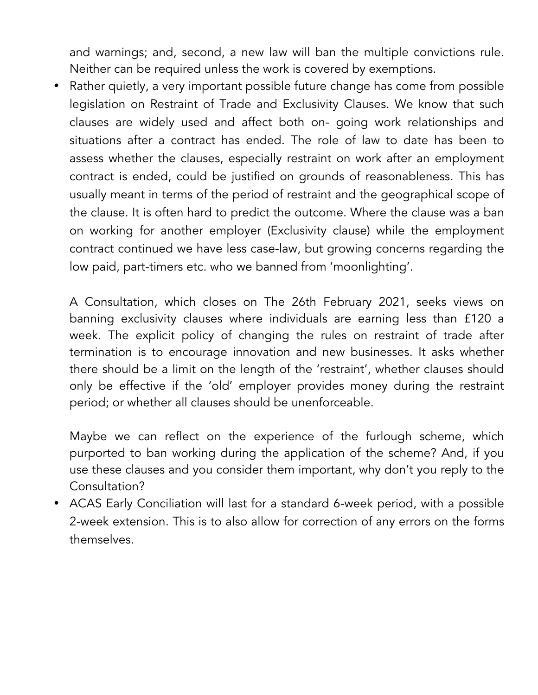and warnings; and, second, a new law will ban the multiple convictions rule. Neither can be required unless the work is covered by exemptions.

• Rather quietly, a very important possible future change has come from possible legislation on Restraint of Trade and Exclusivity Clauses. We know that such clauses are widely used and affect both on- going work relationships and situations after a contract has ended. The role of law to date has been to assess whether the clauses, especially restraint on work after an employment contract is ended, could be justified on grounds of reasonableness. This has usually meant in terms of the period of restraint and the geographical scope of the clause. It is often hard to predict the outcome. Where the clause was a ban on working for another employer (Exclusivity clause) while the employment contract continued we have less case-law, but growing concerns regarding the low paid, part-timers etc. who we banned from 'moonlighting'.

A Consultation, which closes on The 26th February 2021, seeks views on banning exclusivity clauses where individuals are earning less than £120 a week. The explicit policy of changing the rules on restraint of trade after termination is to encourage innovation and new businesses. It asks whether there should be a limit on the length of the 'restraint', whether clauses should only be effective if the 'old' employer provides money during the restraint period; or whether all clauses should be unenforceable.

Maybe we can reflect on the experience of the furlough scheme, which purported to ban working during the application of the scheme? And, if you use these clauses and you consider them important, why don't you reply to the Consultation?

• ACAS Early Conciliation will last for a standard 6-week period, with a possible 2-week extension. This is to also allow for correction of any errors on the forms themselves.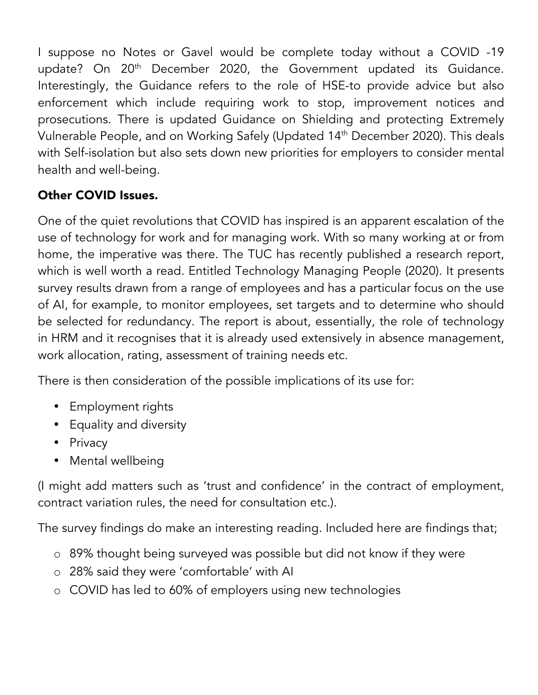I suppose no Notes or Gavel would be complete today without a COVID -19 update? On 20<sup>th</sup> December 2020, the Government updated its Guidance. Interestingly, the Guidance refers to the role of HSE-to provide advice but also enforcement which include requiring work to stop, improvement notices and prosecutions. There is updated Guidance on Shielding and protecting Extremely Vulnerable People, and on Working Safely (Updated 14<sup>th</sup> December 2020). This deals with Self-isolation but also sets down new priorities for employers to consider mental health and well-being.

## Other COVID Issues.

One of the quiet revolutions that COVID has inspired is an apparent escalation of the use of technology for work and for managing work. With so many working at or from home, the imperative was there. The TUC has recently published a research report, which is well worth a read. Entitled Technology Managing People (2020). It presents survey results drawn from a range of employees and has a particular focus on the use of AI, for example, to monitor employees, set targets and to determine who should be selected for redundancy. The report is about, essentially, the role of technology in HRM and it recognises that it is already used extensively in absence management, work allocation, rating, assessment of training needs etc.

There is then consideration of the possible implications of its use for:

- Employment rights
- Equality and diversity
- Privacy
- Mental wellbeing

(I might add matters such as 'trust and confidence' in the contract of employment, contract variation rules, the need for consultation etc.).

The survey findings do make an interesting reading. Included here are findings that;

- o 89% thought being surveyed was possible but did not know if they were
- o 28% said they were 'comfortable' with AI
- o COVID has led to 60% of employers using new technologies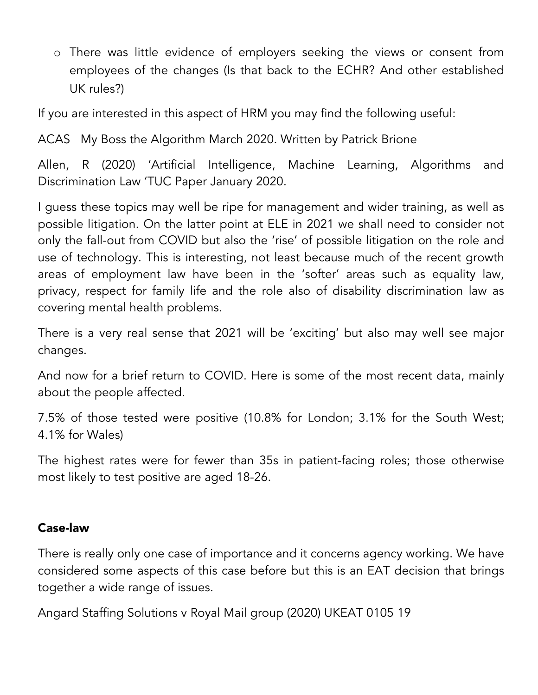o There was little evidence of employers seeking the views or consent from employees of the changes (Is that back to the ECHR? And other established UK rules?)

If you are interested in this aspect of HRM you may find the following useful:

ACAS My Boss the Algorithm March 2020. Written by Patrick Brione

Allen, R (2020) 'Artificial Intelligence, Machine Learning, Algorithms and Discrimination Law 'TUC Paper January 2020.

I guess these topics may well be ripe for management and wider training, as well as possible litigation. On the latter point at ELE in 2021 we shall need to consider not only the fall-out from COVID but also the 'rise' of possible litigation on the role and use of technology. This is interesting, not least because much of the recent growth areas of employment law have been in the 'softer' areas such as equality law, privacy, respect for family life and the role also of disability discrimination law as covering mental health problems.

There is a very real sense that 2021 will be 'exciting' but also may well see major changes.

And now for a brief return to COVID. Here is some of the most recent data, mainly about the people affected.

7.5% of those tested were positive (10.8% for London; 3.1% for the South West; 4.1% for Wales)

The highest rates were for fewer than 35s in patient-facing roles; those otherwise most likely to test positive are aged 18-26.

## Case-law

There is really only one case of importance and it concerns agency working. We have considered some aspects of this case before but this is an EAT decision that brings together a wide range of issues.

Angard Staffing Solutions v Royal Mail group (2020) UKEAT 0105 19